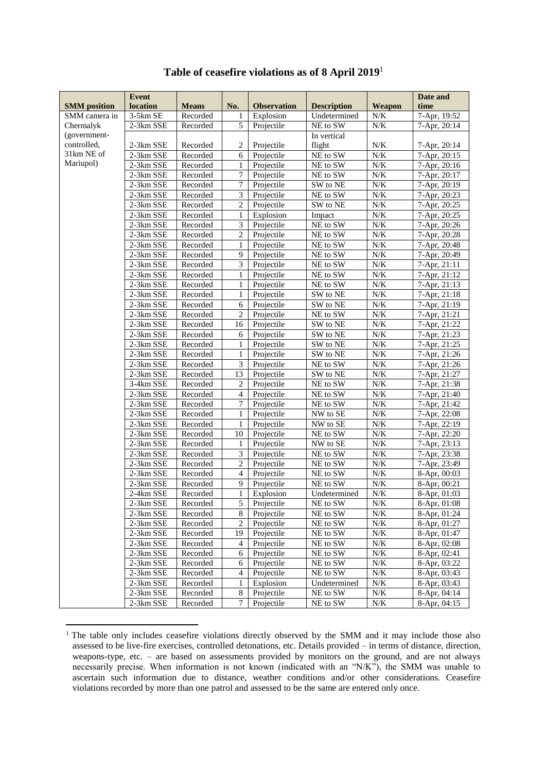|                     | <b>Event</b> |              |                  |                    |                    |           | Date and       |
|---------------------|--------------|--------------|------------------|--------------------|--------------------|-----------|----------------|
| <b>SMM</b> position | location     | <b>Means</b> | No.              | <b>Observation</b> | <b>Description</b> | Weapon    | time           |
| SMM camera in       | 3-5km SE     | Recorded     | 1                | Explosion          | Undetermined       | N/K       | 7-Apr, 19:52   |
| Chermalyk           | 2-3km SSE    | Recorded     | $\overline{5}$   | Projectile         | NE to SW           | N/K       | 7-Apr, 20:14   |
| (government-        |              |              |                  |                    | In vertical        |           |                |
| controlled,         | 2-3km SSE    | Recorded     | 2                | Projectile         | flight             | N/K       | 7-Apr, 20:14   |
| 31km NE of          | 2-3km SSE    | Recorded     | 6                | Projectile         | NE to SW           | N/K       | 7-Apr, 20:15   |
| Mariupol)           | 2-3km SSE    | Recorded     | $\mathbf{1}$     | Projectile         | NE to SW           | $N\!/\!K$ | 7-Apr, 20:16   |
|                     | 2-3km SSE    | Recorded     | $\tau$           | Projectile         | NE to SW           | $N\!/\!K$ | 7-Apr, 20:17   |
|                     | 2-3km SSE    | Recorded     | 7                | Projectile         | SW to NE           | $N/K$     | 7-Apr, 20:19   |
|                     | 2-3km SSE    | Recorded     | 3                | Projectile         | NE to SW           | N/K       | 7-Apr, 20:23   |
|                     | 2-3km SSE    | Recorded     | $\overline{2}$   | Projectile         | SW to NE           | $N\!/\!K$ | 7-Apr, 20:25   |
|                     | 2-3km SSE    | Recorded     | $\mathbf{1}$     | Explosion          | Impact             | $N\!/\!K$ | 7-Apr, 20:25   |
|                     | 2-3km SSE    | Recorded     | $\overline{3}$   | Projectile         | NE to SW           | N/K       | 7-Apr, 20:26   |
|                     | 2-3km SSE    | Recorded     | $\overline{c}$   | Projectile         | NE to SW           | $N/K$     | 7-Apr, 20:28   |
|                     | 2-3km SSE    | Recorded     | 1                | Projectile         | NE to SW           | N/K       | 7-Apr, 20:48   |
|                     | 2-3km SSE    | Recorded     | 9                | Projectile         | NE to SW           | N/K       | 7-Apr, 20:49   |
|                     | 2-3km SSE    | Recorded     | $\overline{3}$   | Projectile         | NE to SW           | $N\!/\!K$ | 7-Apr, 21:11   |
|                     | 2-3km SSE    | Recorded     | $\mathbf{1}$     | Projectile         | NE to SW           | $N/K$     | 7-Apr, 21:12   |
|                     | 2-3km SSE    | Recorded     | $\mathbf{1}$     | Projectile         | NE to SW           | N/K       | $7-Apr, 21:13$ |
|                     | 2-3km SSE    | Recorded     | 1                | Projectile         | SW to NE           | $N\!/\!K$ | 7-Apr, 21:18   |
|                     | 2-3km SSE    | Recorded     | 6                | Projectile         | SW to NE           | $N\!/\!K$ | 7-Apr, 21:19   |
|                     | 2-3km SSE    | Recorded     | $\overline{c}$   | Projectile         | NE to SW           | $N\!/\!K$ | 7-Apr, 21:21   |
|                     | 2-3km SSE    | Recorded     | 16               | Projectile         | SW to NE           | $N/K$     | 7-Apr, 21:22   |
|                     | 2-3km SSE    | Recorded     | 6                | Projectile         | SW to NE           | $N\!/\!K$ | 7-Apr, 21:23   |
|                     | 2-3km SSE    | Recorded     | $\mathbf{1}$     | Projectile         | SW to NE           | N/K       | 7-Apr, 21:25   |
|                     | 2-3km SSE    | Recorded     | 1                | Projectile         | SW to NE           | N/K       | 7-Apr, 21:26   |
|                     | 2-3km SSE    | Recorded     | 3                | Projectile         | NE to SW           | $N\!/\!K$ | 7-Apr, 21:26   |
|                     | 2-3km SSE    | Recorded     | 13               | Projectile         | SW to NE           | $N\!/\!K$ | 7-Apr, 21:27   |
|                     | 3-4km SSE    | Recorded     | $\boldsymbol{2}$ | Projectile         | NE to SW           | $N\!/\!K$ | 7-Apr, 21:38   |
|                     | 2-3km SSE    | Recorded     | $\overline{4}$   | Projectile         | NE to SW           | $N/K$     | 7-Apr, 21:40   |
|                     | 2-3km SSE    | Recorded     | $\overline{7}$   | Projectile         | NE to SW           | N/K       | 7-Apr, 21:42   |
|                     | 2-3km SSE    | Recorded     | 1                | Projectile         | NW to SE           | $N\!/\!K$ | 7-Apr, 22:08   |
|                     | 2-3km SSE    | Recorded     | 1                | Projectile         | NW to SE           | $N\!/\!K$ | 7-Apr, 22:19   |
|                     | 2-3km SSE    | Recorded     | 10               | Projectile         | NE to SW           | N/K       | 7-Apr, 22:20   |
|                     | 2-3km SSE    | Recorded     | 1                | Projectile         | NW to SE           | N/K       | 7-Apr, 23:13   |
|                     | 2-3km SSE    | Recorded     | 3                | Projectile         | NE to SW           | N/K       | 7-Apr, 23:38   |
|                     | 2-3km SSE    | Recorded     | $\overline{2}$   | Projectile         | NE to SW           | N/K       | 7-Apr, 23:49   |
|                     | 2-3km SSE    | Recorded     | $\overline{4}$   | Projectile         | NE to SW           | $N\!/\!K$ | 8-Apr, 00:03   |
|                     | 2-3km SSE    | Recorded     | 9                | Projectile         | NE to SW           | $N/K$     | 8-Apr, 00:21   |
|                     | 2-4km SSE    | Recorded     | 1                | Explosion          | Undetermined       | $N\!/\!K$ | 8-Apr, 01:03   |
|                     | 2-3km SSE    | Recorded     | 5                | Projectile         | NE to SW           | $N\!/\!K$ | 8-Apr, 01:08   |
|                     | 2-3km SSE    | Recorded     | 8                | Projectile         | NE to SW           | N/K       | 8-Apr, 01:24   |
|                     | 2-3km SSE    | Recorded     | $\overline{c}$   | Projectile         | NE to SW           | $N\!/\!K$ | 8-Apr, 01:27   |
|                     | 2-3km SSE    | Recorded     | 19               | Projectile         | NE to SW           | N/K       | 8-Apr, 01:47   |
|                     | 2-3km SSE    | Recorded     | 4                | Projectile         | NE to SW           | $N\!/\!K$ | 8-Apr, 02:08   |
|                     | 2-3km SSE    | Recorded     | 6                | Projectile         | NE to SW           | N/K       | 8-Apr, 02:41   |
|                     | 2-3km SSE    | Recorded     | 6                | Projectile         | NE to SW           | N/K       | 8-Apr, 03:22   |
|                     | 2-3km SSE    | Recorded     | 4                | Projectile         | NE to SW           | $N\!/\!K$ | 8-Apr, 03:43   |
|                     | 2-3km SSE    | Recorded     | 1                | Explosion          | Undetermined       | N/K       | 8-Apr, 03:43   |
|                     | 2-3km SSE    | Recorded     | 8                | Projectile         | NE to SW           | N/K       | 8-Apr, 04:14   |
|                     | 2-3km SSE    | Recorded     | $\overline{7}$   | Projectile         | NE to SW           | $N\!/\!K$ | 8-Apr, 04:15   |

## **Table of ceasefire violations as of 8 April 2019**<sup>1</sup>

1

<sup>&</sup>lt;sup>1</sup> The table only includes ceasefire violations directly observed by the SMM and it may include those also assessed to be live-fire exercises, controlled detonations, etc. Details provided – in terms of distance, direction, weapons-type, etc. – are based on assessments provided by monitors on the ground, and are not always necessarily precise. When information is not known (indicated with an "N/K"), the SMM was unable to ascertain such information due to distance, weather conditions and/or other considerations. Ceasefire violations recorded by more than one patrol and assessed to be the same are entered only once.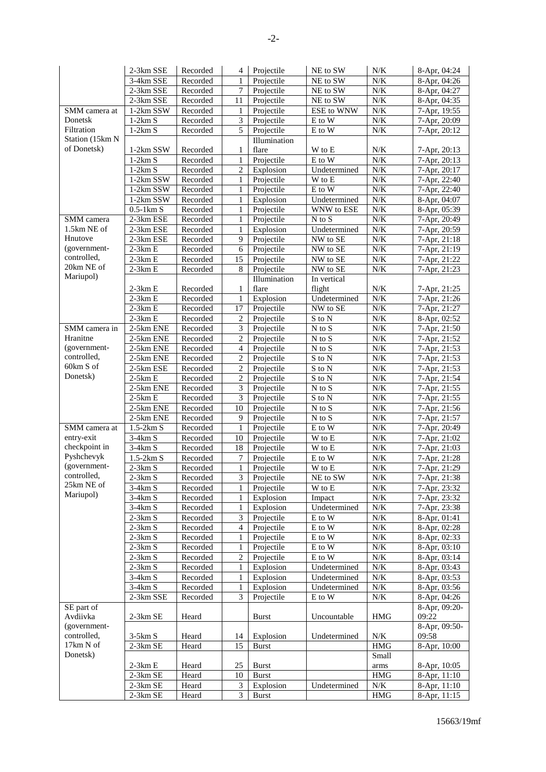|                 | 2-3km SSE             | Recorded | 4              | Projectile       | NE to SW                   | $N/K$      | 8-Apr, 04:24  |
|-----------------|-----------------------|----------|----------------|------------------|----------------------------|------------|---------------|
|                 | 3-4km SSE             | Recorded | 1              | Projectile       | NE to SW                   | N/K        | 8-Apr, 04:26  |
|                 | 2-3km SSE             | Recorded | $\tau$         | Projectile       | NE to SW                   | N/K        | 8-Apr, 04:27  |
|                 | 2-3km SSE             | Recorded | 11             | Projectile       | NE to SW                   | N/K        | 8-Apr, 04:35  |
| SMM camera at   | 1-2km SSW             | Recorded | 1              | Projectile       | ESE to WNW                 | N/K        | 7-Apr, 19:55  |
| Donetsk         | $1-2km S$             | Recorded | 3              | Projectile       | E to W                     | N/K        | 7-Apr, 20:09  |
| Filtration      | $1-2km S$             | Recorded | 5              | Projectile       | E to W                     | $N/K$      | 7-Apr, 20:12  |
| Station (15km N |                       |          |                | Illumination     |                            |            |               |
| of Donetsk)     | 1-2km SSW             | Recorded | 1              | flare            | $\mathbf W$ to $\mathbf E$ | N/K        | 7-Apr, 20:13  |
|                 | $1-2km S$             | Recorded | 1              | Projectile       | E to W                     | N/K        | 7-Apr, 20:13  |
|                 | $1-2km S$             | Recorded | $\overline{c}$ | Explosion        | Undetermined               | $N\!/\!K$  | 7-Apr, 20:17  |
|                 | 1-2km SSW             | Recorded | 1              | Projectile       | W to E                     | $N/K$      | 7-Apr, 22:40  |
|                 | 1-2km SSW             | Recorded | $\mathbf{1}$   | Projectile       | E to W                     | N/K        | 7-Apr, 22:40  |
|                 | 1-2km SSW             | Recorded | $\mathbf{1}$   | Explosion        | Undetermined               | N/K        | 8-Apr, 04:07  |
|                 | $0.5-1 \text{km}$ S   | Recorded | 1              | Projectile       | WNW to ESE                 | N/K        | 8-Apr, 05:39  |
| SMM camera      | 2-3km ESE             | Recorded | 1              | Projectile       | $N$ to $S$                 | N/K        | 7-Apr, 20:49  |
| 1.5km NE of     | 2-3km ESE             | Recorded | 1              | Explosion        | Undetermined               | $N/K$      | 7-Apr, 20:59  |
| Hnutove         | 2-3km ESE             | Recorded | 9              | Projectile       | NW to SE                   | N/K        | 7-Apr, 21:18  |
| (government-    | $2-3km E$             | Recorded | 6              | Projectile       | NW to SE                   | N/K        | 7-Apr, 21:19  |
| controlled,     | $2-3km E$             | Recorded | 15             | Projectile       | NW to SE                   | N/K        | 7-Apr, 21:22  |
| 20km NE of      | $2-3km E$             | Recorded | 8              | Projectile       | NW to SE                   | N/K        | 7-Apr, 21:23  |
| Mariupol)       |                       |          |                | Illumination     | In vertical                |            |               |
|                 | $2-3km E$             | Recorded | 1              | flare            | flight                     | N/K        | 7-Apr, 21:25  |
|                 | $2-3km E$             | Recorded | 1              | Explosion        | Undetermined               | N/K        | 7-Apr, 21:26  |
|                 | $2-3km E$             | Recorded | 17             | Projectile       | NW to SE                   | N/K        | 7-Apr, 21:27  |
|                 | $2-3km E$             | Recorded | $\mathbf{2}$   | Projectile       | S to N                     | N/K        | 8-Apr, 02:52  |
| SMM camera in   | 2-5km ENE             | Recorded | 3              | Projectile       | $N$ to $S$                 | $N/K$      | 7-Apr, 21:50  |
| Hranitne        | 2-5km ENE             | Recorded | $\overline{c}$ | Projectile       | $N$ to $S$                 | $N/K$      | 7-Apr, 21:52  |
| (government-    | 2-5km ENE             | Recorded | $\overline{4}$ | Projectile       | $N$ to $S$                 | $N/K$      | 7-Apr, 21:53  |
| controlled,     | 2-5km ENE             | Recorded | 2              | Projectile       | S to N                     | N/K        | 7-Apr, 21:53  |
| 60km S of       | 2-5km ESE             | Recorded | $\overline{c}$ | Projectile       | S to N                     | N/K        | 7-Apr, 21:53  |
| Donetsk)        | $2-5km E$             | Recorded | $\overline{c}$ | Projectile       | S to N                     | $N/K$      | 7-Apr, 21:54  |
|                 | 2-5km ENE             | Recorded | $\mathfrak{Z}$ | Projectile       | $\mathbf N$ to $\mathbf S$ | N/K        | 7-Apr, 21:55  |
|                 | $2-5km E$             | Recorded | $\overline{3}$ | Projectile       | S to N                     | N/K        | 7-Apr, 21:55  |
|                 | 2-5km ENE             | Recorded | 10             | Projectile       | N to S                     | $N/K$      | 7-Apr, 21:56  |
|                 | 2-5km ENE             | Recorded | 9              | Projectile       | $N$ to $S$                 | N/K        | 7-Apr, 21:57  |
| SMM camera at   | $1.5-2km S$           | Recorded | 1              | Projectile       | E to W                     | $N\!/\!K$  | 7-Apr, 20:49  |
| entry-exit      | $3-4km S$             | Recorded | 10             | Projectile       | W to E                     | N/K        | 7-Apr, 21:02  |
| checkpoint in   | $3-4km S$             | Recorded | 18             | Projectile       | W to E                     | $N/K$      | 7-Apr, 21:03  |
| Pyshchevyk      | $1.5-2km S$           | Recorded | 7              | Projectile       | $E$ to $\overline{W}$      | $N/K$      | 7-Apr, 21:28  |
| (government-    | 2-3km S               | Recorded | 1              | Projectile       | W to E                     | N/K        | 7-Apr, 21:29  |
| controlled,     | $2-3km S$             | Recorded | 3              | Projectile       | NE to SW                   | $N\!/\!K$  | 7-Apr, 21:38  |
| 25km NE of      | $3-4km S$             | Recorded |                | Projectile       | W to E                     | N/K        | 7-Apr, 23:32  |
| Mariupol)       | $3-4km S$             | Recorded | 1              | Explosion        | Impact                     | N/K        | 7-Apr, 23:32  |
|                 | $3-4km S$             | Recorded | 1              | Explosion        | Undetermined               | $N\!/\!K$  | 7-Apr, 23:38  |
|                 | $2-3km S$             | Recorded | 3              | Projectile       | E to W                     | N/K        | 8-Apr, 01:41  |
|                 | $2-3km S$             | Recorded | $\overline{4}$ | Projectile       | E to W                     | $N\!/\!K$  | 8-Apr, 02:28  |
|                 | $2-3km S$             | Recorded | 1              | Projectile       | E to W                     | $N\!/\!K$  | 8-Apr, 02:33  |
|                 | $2-3km S$             | Recorded | 1              | Projectile       | E to W                     | $N/K$      | 8-Apr, 03:10  |
|                 | $\overline{2}$ -3km S | Recorded | $\overline{2}$ | Projectile       | E to W                     | N/K        | 8-Apr, 03:14  |
|                 | $2-3km S$             | Recorded | 1              | Explosion        | Undetermined               | N/K        | 8-Apr, 03:43  |
|                 | $3-4km S$             | Recorded | 1              | Explosion        | Undetermined               | N/K        | 8-Apr, 03:53  |
|                 | $3-4km S$             | Recorded |                | Explosion        | Undetermined               | $N\!/\!K$  | 8-Apr, 03:56  |
|                 | 2-3km SSE             | Recorded | 3              | Projectile       | E to W                     | N/K        | 8-Apr, 04:26  |
| SE part of      |                       |          |                |                  |                            |            | 8-Apr, 09:20- |
| Avdiivka        | $2-3km$ SE            | Heard    |                | <b>Burst</b>     | Uncountable                | <b>HMG</b> | 09:22         |
| (government-    |                       |          |                |                  |                            |            | 8-Apr, 09:50- |
| controlled,     | $3-5km S$             | Heard    | 14             | Explosion        | Undetermined               | N/K        | 09:58         |
| 17km N of       | 2-3km SE              | Heard    | 15             | <b>Burst</b>     |                            | HMG        | 8-Apr, 10:00  |
| Donetsk)        |                       |          |                |                  |                            | Small      |               |
|                 | $2-3km E$             | Heard    | 25             | <b>Burst</b>     |                            | arms       | 8-Apr, 10:05  |
|                 | 2-3km SE              | Heard    | 10             | <b>Burst</b>     |                            | $\rm{HMG}$ | 8-Apr, 11:10  |
|                 | $2-3km$ SE            | Heard    | 3              | Explosion        | Undetermined               | N/K        | 8-Apr, 11:10  |
|                 | 2-3km SE              | Heard    | 3              | $\mathbf{Burst}$ |                            | $\rm HMG$  | 8-Apr, 11:15  |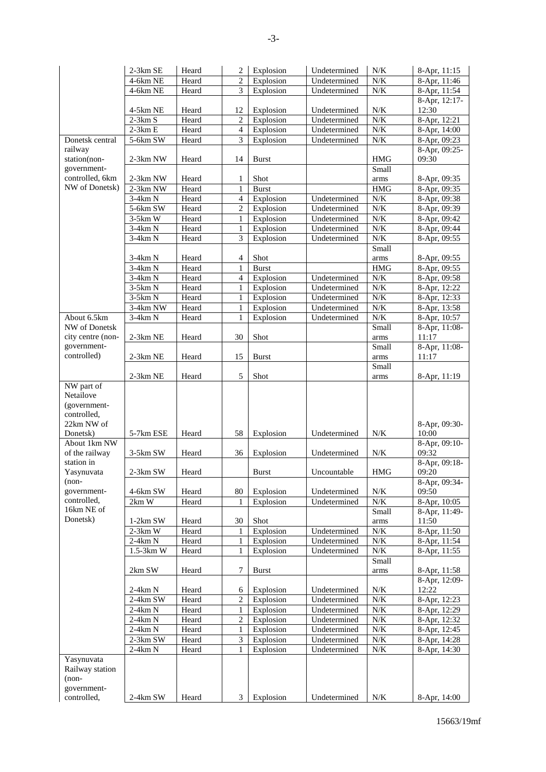|                                                                        | 2-3km SE               | Heard          | 2                   | Explosion            | Undetermined               | N/K                | 8-Apr, 11:15                 |
|------------------------------------------------------------------------|------------------------|----------------|---------------------|----------------------|----------------------------|--------------------|------------------------------|
|                                                                        | 4-6km NE               | Heard          | 2                   | Explosion            | Undetermined               | $N\!/\!K$          | 8-Apr, 11:46                 |
|                                                                        | 4-6km NE               | Heard          | 3                   | Explosion            | Undetermined               | N/K                | 8-Apr, 11:54                 |
|                                                                        |                        |                |                     |                      |                            |                    | 8-Apr, 12:17-                |
|                                                                        | 4-5km NE               | Heard          | 12                  | Explosion            | Undetermined               | $N/K$              | 12:30                        |
|                                                                        | $2-3km S$              | Heard          | 2                   | Explosion            | Undetermined               | N/K                | 8-Apr, 12:21                 |
|                                                                        | $2-3km E$              | Heard          | 4                   | Explosion            | Undetermined               | N/K                | 8-Apr, 14:00                 |
| Donetsk central                                                        | 5-6km SW               | Heard          | 3                   | Explosion            | Undetermined               | N/K                | 8-Apr, 09:23                 |
| railway                                                                |                        |                |                     |                      |                            |                    | 8-Apr, 09:25-                |
| station(non-                                                           | $2-3km$ NW             | Heard          | 14                  | <b>Burst</b>         |                            | <b>HMG</b>         | 09:30                        |
| government-                                                            |                        |                |                     |                      |                            | Small              |                              |
| controlled, 6km                                                        | 2-3km NW               | Heard          | 1                   | Shot                 |                            | arms               | 8-Apr, 09:35                 |
| NW of Donetsk)                                                         | $2-3km$ NW             | Heard          | $\mathbf{1}$        | <b>Burst</b>         |                            | <b>HMG</b>         | 8-Apr, 09:35                 |
|                                                                        | $3-4km N$              | Heard          | $\overline{4}$      | Explosion            | Undetermined               | N/K                | 8-Apr, 09:38                 |
|                                                                        | 5-6km SW               | Heard          | 2                   | Explosion            | $\overline{U}$ ndetermined | N/K                | 8-Apr, 09:39                 |
|                                                                        | $3-5km$ W              | Heard          | 1                   | Explosion            | Undetermined               | $N/K$              | 8-Apr, 09:42                 |
|                                                                        | 3-4km N                | Heard          | 1                   | Explosion            | Undetermined               | N/K                | 8-Apr, 09:44                 |
|                                                                        | $3-4km N$              | Heard          | 3                   | Explosion            | Undetermined               | $N\!/\!K$          | 8-Apr, 09:55                 |
|                                                                        |                        |                |                     |                      |                            | Small              |                              |
|                                                                        | $3-4km N$<br>$3-4km N$ | Heard<br>Heard | 4                   | Shot<br><b>Burst</b> |                            | arms<br><b>HMG</b> | 8-Apr, 09:55<br>8-Apr, 09:55 |
|                                                                        | $3-4km$ N              | Heard          | 1<br>$\overline{4}$ | Explosion            | Undetermined               | N/K                | 8-Apr, 09:58                 |
|                                                                        | $3-5km N$              | Heard          | 1                   | Explosion            | Undetermined               | $N\!/\!K$          |                              |
|                                                                        | $3-5km N$              | Heard          | 1                   | Explosion            | Undetermined               | N/K                | 8-Apr, 12:22                 |
|                                                                        | 3-4km NW               | Heard          | 1                   | Explosion            | Undetermined               | N/K                | 8-Apr, 12:33<br>8-Apr, 13:58 |
| About 6.5km                                                            | $3-4km N$              | Heard          | 1                   | Explosion            | Undetermined               | $N/K$              | 8-Apr, 10:57                 |
| NW of Donetsk                                                          |                        |                |                     |                      |                            | Small              | 8-Apr, 11:08-                |
| city centre (non-                                                      | 2-3km NE               | Heard          | 30                  | Shot                 |                            | arms               | 11:17                        |
| government-                                                            |                        |                |                     |                      |                            | Small              | 8-Apr, 11:08-                |
| controlled)                                                            | 2-3km NE               | Heard          | 15                  | <b>Burst</b>         |                            | arms               | 11:17                        |
|                                                                        |                        |                |                     |                      |                            | Small              |                              |
|                                                                        | 2-3km NE               | Heard          | 5                   | Shot                 |                            | arms               | 8-Apr, 11:19                 |
| NW part of<br>Netailove<br>(government-<br>controlled,<br>22km NW of   |                        |                |                     |                      |                            |                    | 8-Apr, 09:30-                |
| Donetsk)<br>About 1km NW                                               | 5-7km ESE              | Heard          | 58                  | Explosion            | Undetermined               | N/K                | 10:00<br>8-Apr, 09:10-       |
| of the railway                                                         | $3-5km$ SW             | Heard          | 36                  | Explosion            | Undetermined               | N/K                | 09:32                        |
| station in<br>Yasynuvata                                               | 2-3km SW               | Heard          |                     | Burst                | Uncountable                | HMG                | 8-Apr, 09:18-<br>09:20       |
| $(non-$                                                                |                        |                |                     |                      |                            |                    | 8-Apr, 09:34-                |
| government-                                                            | 4-6km SW               | Heard          | 80                  | Explosion            | Undetermined               | $N\!/\!K$          | 09:50                        |
| controlled,                                                            | 2km W                  | Heard          | 1                   | Explosion            | Undetermined               | $N\!/\!K$          | 8-Apr, 10:05                 |
| 16km NE of<br>Donetsk)                                                 |                        |                |                     |                      |                            | Small              | 8-Apr, 11:49-                |
|                                                                        | $1-2km$ SW             | Heard          | 30                  | Shot                 |                            | arms               | 11:50                        |
|                                                                        | $2-3km$ W              | Heard          | 1                   | Explosion            | Undetermined               | N/K                | 8-Apr, 11:50                 |
|                                                                        | 2-4km N                | Heard          | 1                   | Explosion            | Undetermined               | $N\!/\!K$          | 8-Apr, 11:54                 |
|                                                                        | 1.5-3km W              | Heard          | 1                   | Explosion            | Undetermined               | N/K                | 8-Apr, 11:55                 |
|                                                                        | 2km SW                 | Heard          | 7                   | <b>Burst</b>         |                            | Small<br>arms      | 8-Apr, 11:58                 |
|                                                                        |                        |                |                     |                      |                            |                    | 8-Apr, 12:09-                |
|                                                                        | $2-4km N$              | Heard          | 6                   | Explosion            | Undetermined               | N/K                | 12:22                        |
|                                                                        | 2-4km SW               | Heard          | 2                   | Explosion            | Undetermined               | $N\!/\!K$          | 8-Apr, 12:23                 |
|                                                                        | $2-4km N$              | Heard          | $\mathbf{1}$        | Explosion            | Undetermined               | $N\!/\!K$          | 8-Apr, 12:29                 |
|                                                                        | $2-4km N$              | Heard          | $\boldsymbol{2}$    | Explosion            | Undetermined               | N/K                | 8-Apr, 12:32                 |
|                                                                        | $2-4km N$              | Heard          | 1                   | Explosion            | Undetermined               | N/K                | 8-Apr, 12:45                 |
|                                                                        | 2-3km SW               | Heard          | 3                   | Explosion            | Undetermined               | $N\!/\!K$          | 8-Apr, 14:28                 |
|                                                                        | $2-4km N$              | Heard          | 1                   | Explosion            | Undetermined               | N/K                | 8-Apr, 14:30                 |
| Yasynuvata<br>Railway station<br>$(non-$<br>government-<br>controlled, | 2-4km SW               | Heard          | 3                   | Explosion            | Undetermined               | N/K                | 8-Apr, 14:00                 |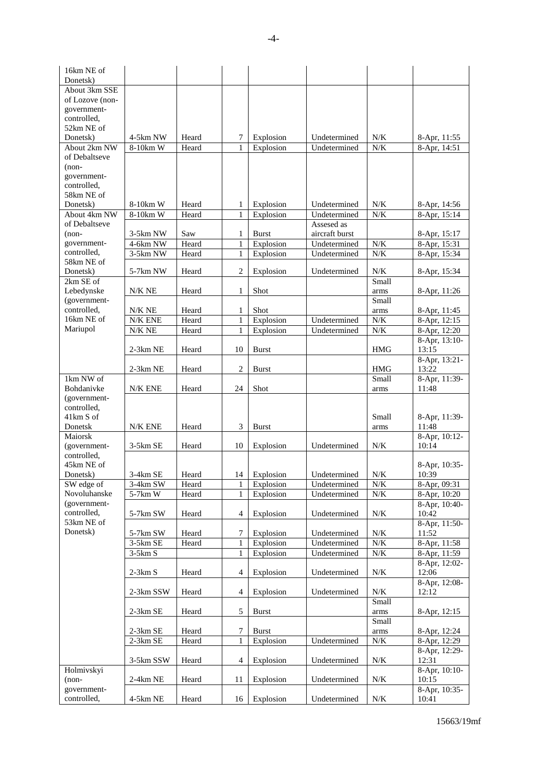| 16km NE of<br>Donetsk)    |                     |                |                |                        |                |            |                              |
|---------------------------|---------------------|----------------|----------------|------------------------|----------------|------------|------------------------------|
| About 3km SSE             |                     |                |                |                        |                |            |                              |
| of Lozove (non-           |                     |                |                |                        |                |            |                              |
| government-               |                     |                |                |                        |                |            |                              |
| controlled,               |                     |                |                |                        |                |            |                              |
| 52km NE of                |                     |                |                |                        |                |            |                              |
| Donetsk)                  | 4-5km NW            | Heard          | 7              | Explosion              | Undetermined   | $N\!/\!K$  | 8-Apr, 11:55                 |
| About 2km NW              | 8-10km W            | Heard          | 1              | Explosion              | Undetermined   | N/K        | 8-Apr, 14:51                 |
| of Debaltseve             |                     |                |                |                        |                |            |                              |
| $(non-$                   |                     |                |                |                        |                |            |                              |
| government-               |                     |                |                |                        |                |            |                              |
| controlled,               |                     |                |                |                        |                |            |                              |
| 58km NE of                | 8-10km W            | Heard          | 1              | Explosion              | Undetermined   | N/K        |                              |
| Donetsk)<br>About 4km NW  | 8-10km W            | Heard          | 1              | Explosion              | Undetermined   | N/K        | 8-Apr, 14:56<br>8-Apr, 15:14 |
| of Debaltseve             |                     |                |                |                        | Assesed as     |            |                              |
| $(non-$                   | $3-5km$ NW          | Saw            | 1              | <b>Burst</b>           | aircraft burst |            | 8-Apr, 15:17                 |
| government-               | 4-6km NW            | Heard          | $\mathbf{1}$   | Explosion              | Undetermined   | $N/K$      | 8-Apr, 15:31                 |
| controlled,               | 3-5km NW            | Heard          | $\mathbf{1}$   | Explosion              | Undetermined   | $N/K$      | 8-Apr, 15:34                 |
| 58km NE of                |                     |                |                |                        |                |            |                              |
| Donetsk)                  | 5-7km NW            | Heard          | 2              | Explosion              | Undetermined   | N/K        | 8-Apr, 15:34                 |
| 2km SE of                 |                     |                |                |                        |                | Small      |                              |
| Lebedynske                | N/K NE              | Heard          | 1              | Shot                   |                | arms       | 8-Apr, 11:26                 |
| (government-              |                     |                |                |                        |                | Small      |                              |
| controlled,               | N/K NE              | Heard          | 1              | Shot                   |                | arms       | 8-Apr, 11:45                 |
| 16km NE of                | $N/K$ ENE $\,$      | Heard          | 1              | Explosion              | Undetermined   | $N/K$      | 8-Apr, 12:15                 |
| Mariupol                  | $\overline{N/K}$ NE | Heard          | 1              | Explosion              | Undetermined   | $N/K$      | 8-Apr, 12:20                 |
|                           |                     |                |                |                        |                |            | 8-Apr, 13:10-                |
|                           | 2-3km NE            | Heard          | 10             | <b>Burst</b>           |                | <b>HMG</b> | 13:15                        |
|                           | 2-3km NE            | Heard          | 2              | <b>Burst</b>           |                | <b>HMG</b> | 8-Apr, 13:21-<br>13:22       |
| 1km NW of                 |                     |                |                |                        |                | Small      | 8-Apr, 11:39-                |
|                           |                     |                |                |                        |                |            |                              |
| Bohdanivke                | N/K ENE             | Heard          | 24             | Shot                   |                | arms       | 11:48                        |
| (government-              |                     |                |                |                        |                |            |                              |
| controlled,               |                     |                |                |                        |                |            |                              |
| 41km S of                 |                     |                |                |                        |                | Small      | 8-Apr, 11:39-                |
| Donetsk                   | N/K ENE             | Heard          | 3              | <b>Burst</b>           |                | arms       | 11:48                        |
| Maiorsk                   |                     |                |                |                        |                |            | 8-Apr, 10:12-                |
| (government-              | $3-5km$ SE          | Heard          | 10             | Explosion              | Undetermined   | N/K        | 10:14                        |
| controlled,               |                     |                |                |                        |                |            |                              |
| 45km NE of                |                     |                |                |                        |                |            | 8-Apr, 10:35-                |
| Donetsk)                  | $3-4km$ SE          | Heard          |                | 14 Explosion           | Undetermined   | N/K        | 10:39                        |
| SW edge of                | 3-4km SW            | Heard          | 1              | Explosion              | Undetermined   | N/K        | 8-Apr, 09:31                 |
| Novoluhanske              | 5-7km W             | Heard          | 1              | Explosion              | Undetermined   | N/K        | 8-Apr, 10:20                 |
| (government-              |                     |                |                |                        |                |            | 8-Apr, 10:40-                |
| controlled,<br>53km NE of | 5-7km SW            | Heard          | $\overline{4}$ | Explosion              | Undetermined   | N/K        | 10:42                        |
| Donetsk)                  | 5-7km SW            |                | 7              |                        | Undetermined   |            | 8-Apr, 11:50-<br>11:52       |
|                           | 3-5km SE            | Heard<br>Heard | 1              | Explosion<br>Explosion | Undetermined   | N/K<br>N/K |                              |
|                           | $3-5km S$           |                | 1              | Explosion              | Undetermined   | $N\!/\!K$  | 8-Apr, 11:58<br>8-Apr, 11:59 |
|                           |                     |                |                |                        |                |            | 8-Apr, 12:02-                |
|                           | $2-3km S$           | Heard          | 4              | Explosion              | Undetermined   | N/K        | 12:06                        |
|                           |                     |                |                |                        |                |            | 8-Apr, 12:08-                |
|                           | 2-3km SSW           | Heard          | $\overline{4}$ | Explosion              | Undetermined   | N/K        | 12:12                        |
|                           |                     |                |                |                        |                | Small      |                              |
|                           | 2-3km SE            | Heard          | 5              | <b>Burst</b>           |                | arms       | 8-Apr, 12:15                 |
|                           |                     |                |                |                        |                | Small      |                              |
|                           | $2-3km$ SE          | Heard          | 7              | <b>Burst</b>           |                | arms       | 8-Apr, 12:24                 |
|                           | 2-3km SE            | Heard          | 1              | Explosion              | Undetermined   | N/K        | 8-Apr, 12:29                 |
|                           |                     |                |                |                        |                |            | 8-Apr, 12:29-                |
|                           | 3-5km SSW           | Heard          | 4              | Explosion              | Undetermined   | N/K        | 12:31                        |
| Holmivskyi                |                     |                |                |                        |                |            | 8-Apr, 10:10-                |
| $(non-$<br>government-    | $2-4km$ NE          | Heard          | 11             | Explosion              | Undetermined   | N/K        | 10:15<br>8-Apr, 10:35-       |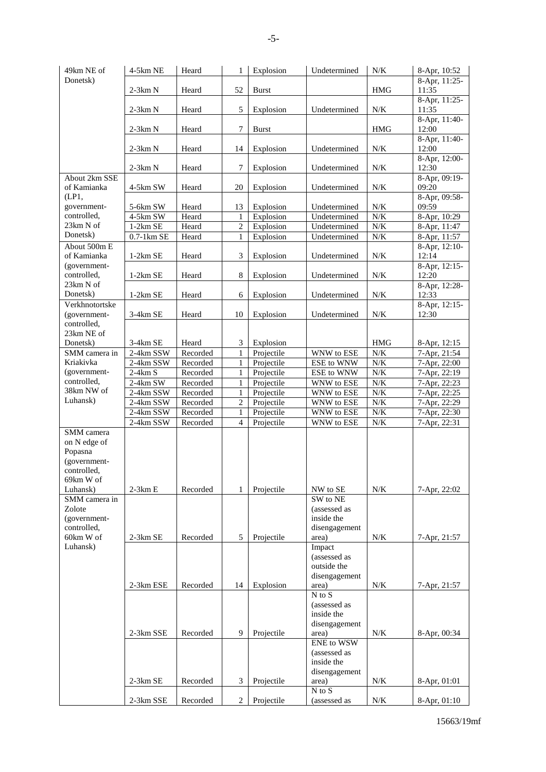| 49km NE of              | 4-5km NE     | Heard    | 1              | Explosion    | Undetermined               | N/K        | 8-Apr, 10:52           |
|-------------------------|--------------|----------|----------------|--------------|----------------------------|------------|------------------------|
| Donetsk)                |              |          |                |              |                            |            | 8-Apr, 11:25-          |
|                         | $2-3km N$    | Heard    | 52             | <b>Burst</b> |                            | <b>HMG</b> | 11:35<br>8-Apr, 11:25- |
|                         | $2-3km N$    | Heard    | 5              | Explosion    | Undetermined               | N/K        | 11:35                  |
|                         |              |          |                |              |                            |            | 8-Apr, 11:40-          |
|                         | $2-3km N$    | Heard    | 7              | <b>Burst</b> |                            | HMG        | 12:00                  |
|                         | $2-3km N$    | Heard    | 14             |              | Undetermined               | N/K        | 8-Apr, 11:40-<br>12:00 |
|                         |              |          |                | Explosion    |                            |            | 8-Apr, 12:00-          |
|                         | $2-3km N$    | Heard    | 7              | Explosion    | Undetermined               | $N/K$      | 12:30                  |
| About 2km SSE           |              |          |                |              |                            |            | 8-Apr, 09:19-          |
| of Kamianka             | 4-5km SW     | Heard    | 20             | Explosion    | Undetermined               | $N\!/\!K$  | 09:20                  |
| (LP1,<br>government-    | 5-6km SW     | Heard    | 13             | Explosion    | Undetermined               | N/K        | 8-Apr, 09:58-<br>09:59 |
| controlled,             | 4-5km SW     | Heard    | 1              | Explosion    | Undetermined               | N/K        | 8-Apr, 10:29           |
| 23km N of               | $1-2km$ SE   | Heard    | 2              | Explosion    | Undetermined               | $N\!/\!K$  | 8-Apr, 11:47           |
| Donetsk)                | $0.7-1km$ SE | Heard    | 1              | Explosion    | Undetermined               | N/K        | 8-Apr, 11:57           |
| About 500m E            |              |          |                |              |                            |            | 8-Apr, 12:10-          |
| of Kamianka             | 1-2km SE     | Heard    | 3              | Explosion    | Undetermined               | $N/K$      | 12:14                  |
| (government-            |              |          |                |              |                            |            | 8-Apr, 12:15-          |
| controlled,             | $1-2km$ SE   | Heard    | 8              | Explosion    | Undetermined               | N/K        | 12:20                  |
| 23km N of<br>Donetsk)   | $1-2km$ SE   | Heard    | 6              |              | Undetermined               | N/K        | 8-Apr, 12:28-<br>12:33 |
| Verkhnotortske          |              |          |                | Explosion    |                            |            | 8-Apr, 12:15-          |
| (government-            | 3-4km SE     | Heard    | 10             | Explosion    | Undetermined               | N/K        | 12:30                  |
| controlled,             |              |          |                |              |                            |            |                        |
| 23km NE of              |              |          |                |              |                            |            |                        |
| Donetsk)                | 3-4km SE     | Heard    | 3              | Explosion    |                            | <b>HMG</b> | 8-Apr, 12:15           |
| SMM camera in           | 2-4km SSW    | Recorded | $\mathbf{1}$   | Projectile   | WNW to ESE                 | N/K        | 7-Apr, 21:54           |
| Kriakivka               | 2-4km SSW    | Recorded | $\mathbf{1}$   | Projectile   | ESE to WNW                 | $N\!/\!K$  | 7-Apr, 22:00           |
| (government-            | $2-4km S$    | Recorded | $\mathbf{1}$   | Projectile   | ESE to WNW                 | $N\!/\!K$  | 7-Apr, 22:19           |
| controlled,             | 2-4km SW     | Recorded | $\mathbf{1}$   | Projectile   | WNW to ESE                 | $N/K$      | 7-Apr, 22:23           |
| 38km NW of              | 2-4km SSW    | Recorded | $\mathbf{1}$   | Projectile   | WNW to ESE                 | N/K        | 7-Apr, 22:25           |
| Luhansk)                | 2-4km SSW    | Recorded | 2              | Projectile   | WNW to ESE                 | N/K        | 7-Apr, 22:29           |
|                         | 2-4km SSW    | Recorded | 1              | Projectile   | WNW to ESE                 | N/K        | 7-Apr, 22:30           |
|                         | 2-4km SSW    | Recorded | 4              | Projectile   | WNW to ESE                 | $N/K$      | 7-Apr, 22:31           |
| SMM camera              |              |          |                |              |                            |            |                        |
| on N edge of<br>Popasna |              |          |                |              |                            |            |                        |
| (government-            |              |          |                |              |                            |            |                        |
| controlled,             |              |          |                |              |                            |            |                        |
| 69km W of               |              |          |                |              |                            |            |                        |
| Luhansk)                | $2-3km E$    | Recorded | 1              | Projectile   | NW to SE                   | N/K        | 7-Apr, 22:02           |
| SMM camera in           |              |          |                |              | SW to NE                   |            |                        |
| Zolote                  |              |          |                |              | (assessed as               |            |                        |
| (government-            |              |          |                |              | inside the                 |            |                        |
| controlled,             |              |          |                |              | disengagement              |            |                        |
| 60km W of               | $2-3km$ SE   | Recorded | 5              | Projectile   | area)                      | N/K        | 7-Apr, 21:57           |
| Luhansk)                |              |          |                |              | Impact                     |            |                        |
|                         |              |          |                |              | (assessed as               |            |                        |
|                         |              |          |                |              | outside the                |            |                        |
|                         | 2-3km ESE    | Recorded | 14             |              | disengagement              |            |                        |
|                         |              |          |                | Explosion    | area)<br>$N$ to $S$        | N/K        | 7-Apr, 21:57           |
|                         |              |          |                |              | (assessed as               |            |                        |
|                         |              |          |                |              | inside the                 |            |                        |
|                         |              |          |                |              | disengagement              |            |                        |
|                         | 2-3km SSE    | Recorded | 9              | Projectile   | area)                      | N/K        | 8-Apr, 00:34           |
|                         |              |          |                |              | <b>ENE</b> to WSW          |            |                        |
|                         |              |          |                |              | (assessed as               |            |                        |
|                         |              |          |                |              | inside the                 |            |                        |
|                         |              |          |                |              | disengagement              |            |                        |
|                         | 2-3km SE     | Recorded | 3              | Projectile   | area)                      | N/K        | 8-Apr, 01:01           |
|                         | 2-3km SSE    |          | $\overline{c}$ |              | $N$ to $S$<br>(assessed as | $N\!/\!K$  |                        |
|                         |              | Recorded |                | Projectile   |                            |            | 8-Apr, 01:10           |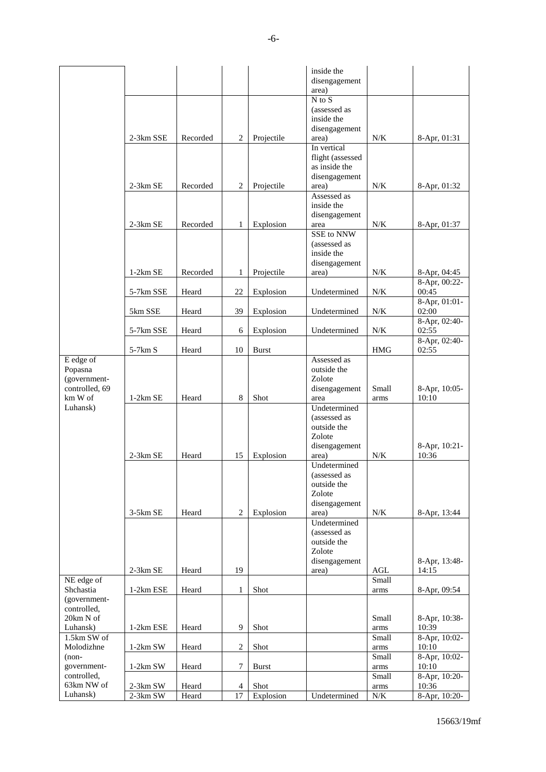|                         |            |          |                |              | inside the                        |               |                        |
|-------------------------|------------|----------|----------------|--------------|-----------------------------------|---------------|------------------------|
|                         |            |          |                |              | disengagement                     |               |                        |
|                         |            |          |                |              | area)<br>$\overline{N}$ to $S$    |               |                        |
|                         |            |          |                |              | (assessed as                      |               |                        |
|                         |            |          |                |              | inside the                        |               |                        |
|                         |            |          |                |              | disengagement                     |               |                        |
|                         | 2-3km SSE  | Recorded | 2              | Projectile   | area)                             | $N\!/\!K$     | 8-Apr, 01:31           |
|                         |            |          |                |              | In vertical                       |               |                        |
|                         |            |          |                |              | flight (assessed<br>as inside the |               |                        |
|                         |            |          |                |              | disengagement                     |               |                        |
|                         | $2-3km$ SE | Recorded | 2              | Projectile   | area)                             | N/K           | 8-Apr, 01:32           |
|                         |            |          |                |              | Assessed as                       |               |                        |
|                         |            |          |                |              | inside the                        |               |                        |
|                         |            |          |                |              | disengagement                     |               |                        |
|                         | $2-3km$ SE | Recorded | 1              | Explosion    | area<br>SSE to NNW                | $N/K$         | 8-Apr, 01:37           |
|                         |            |          |                |              | (assessed as                      |               |                        |
|                         |            |          |                |              | inside the                        |               |                        |
|                         |            |          |                |              | disengagement                     |               |                        |
|                         | $1-2km$ SE | Recorded | 1              | Projectile   | area)                             | N/K           | 8-Apr, 04:45           |
|                         |            |          |                |              |                                   |               | 8-Apr, 00:22-          |
|                         | 5-7km SSE  | Heard    | 22             | Explosion    | Undetermined                      | N/K           | 00:45                  |
|                         | 5km SSE    | Heard    | 39             | Explosion    | Undetermined                      | $N\!/\!K$     | 8-Apr, 01:01-<br>02:00 |
|                         |            |          |                |              |                                   |               | 8-Apr, 02:40-          |
|                         | 5-7km SSE  | Heard    | 6              | Explosion    | Undetermined                      | $N\!/\!K$     | 02:55                  |
|                         |            |          |                |              |                                   |               | 8-Apr, 02:40-          |
|                         | 5-7km S    | Heard    | 10             | <b>Burst</b> |                                   | <b>HMG</b>    | 02:55                  |
| E edge of<br>Popasna    |            |          |                |              | Assessed as<br>outside the        |               |                        |
| (government-            |            |          |                |              | Zolote                            |               |                        |
| controlled, 69          |            |          |                |              | disengagement                     | Small         | 8-Apr, 10:05-          |
| km W of                 | $1-2km$ SE | Heard    | 8              | Shot         | area                              | arms          | 10:10                  |
| Luhansk)                |            |          |                |              | Undetermined                      |               |                        |
|                         |            |          |                |              | (assessed as                      |               |                        |
|                         |            |          |                |              | outside the<br>Zolote             |               |                        |
|                         |            |          |                |              | disengagement                     |               | 8-Apr, 10:21-          |
|                         | $2-3km$ SE | Heard    | 15             | Explosion    | area)                             | N/K           | 10:36                  |
|                         |            |          |                |              | Undetermined                      |               |                        |
|                         |            |          |                |              | (assessed as                      |               |                        |
|                         |            |          |                |              | outside the                       |               |                        |
|                         |            |          |                |              | Zolote<br>disengagement           |               |                        |
|                         | $3-5km$ SE | Heard    | 2              | Explosion    | area)                             | $N\!/\!K$     | 8-Apr, 13:44           |
|                         |            |          |                |              | Undetermined                      |               |                        |
|                         |            |          |                |              | (assessed as                      |               |                        |
|                         |            |          |                |              | outside the                       |               |                        |
|                         |            |          |                |              | Zolote                            |               |                        |
|                         | 2-3km SE   | Heard    | 19             |              | disengagement<br>area)            | AGL           | 8-Apr, 13:48-<br>14:15 |
| NE edge of              |            |          |                |              |                                   | Small         |                        |
| Shchastia               | 1-2km ESE  | Heard    | 1              | Shot         |                                   | arms          | 8-Apr, 09:54           |
| (government-            |            |          |                |              |                                   |               |                        |
| controlled,             |            |          |                |              |                                   |               |                        |
| 20km N of               |            |          |                |              |                                   | Small         | 8-Apr, 10:38-          |
| Luhansk)<br>1.5km SW of | 1-2km ESE  | Heard    | 9              | Shot         |                                   | arms<br>Small | 10:39<br>8-Apr, 10:02- |
| Molodizhne              | $1-2km$ SW | Heard    | $\overline{c}$ | Shot         |                                   | arms          | 10:10                  |
| $(non-$                 |            |          |                |              |                                   | Small         | 8-Apr, 10:02-          |
| government-             | $1-2km$ SW | Heard    | 7              | <b>Burst</b> |                                   | arms          | 10:10                  |
| controlled,             |            |          |                |              |                                   | Small         | 8-Apr, 10:20-          |
| 63km NW of              | 2-3km SW   | Heard    | 4              | Shot         |                                   | arms          | 10:36                  |
| Luhansk)                | 2-3km SW   | Heard    | 17             | Explosion    | Undetermined                      | $N\!/\!K$     | 8-Apr, 10:20-          |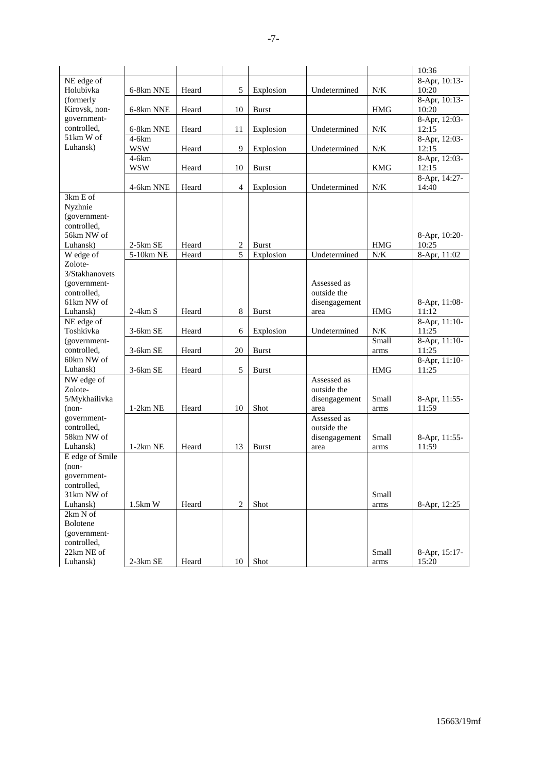|                           |            |       |                     |              |               |                   | 10:36                 |
|---------------------------|------------|-------|---------------------|--------------|---------------|-------------------|-----------------------|
| NE edge of                |            |       |                     |              |               |                   | 8-Apr, 10:13-         |
| Holubivka                 | 6-8km NNE  | Heard | 5                   | Explosion    | Undetermined  | N/K               | 10:20                 |
| (formerly                 |            |       |                     |              |               |                   | 8-Apr, 10:13-         |
| Kirovsk, non-             | 6-8km NNE  | Heard | 10                  | <b>Burst</b> |               | <b>HMG</b>        | 10:20                 |
| government-               |            |       |                     |              |               |                   | 8-Apr, 12:03-         |
| controlled,               | 6-8km NNE  | Heard | 11                  | Explosion    | Undetermined  | N/K               | 12:15                 |
| 51km W of                 | $4-6km$    |       |                     |              |               |                   | 8-Apr, 12:03-         |
| Luhansk)                  | <b>WSW</b> | Heard | 9                   | Explosion    | Undetermined  | N/K               | 12:15                 |
|                           | $4-6km$    |       |                     |              |               |                   | 8-Apr, 12:03-         |
|                           | <b>WSW</b> | Heard | 10                  | <b>Burst</b> |               | KMG               | 12:15                 |
|                           |            |       |                     |              |               |                   | 8-Apr, 14:27-         |
|                           | 4-6km NNE  | Heard | 4                   | Explosion    | Undetermined  | N/K               | 14:40                 |
| 3km E of                  |            |       |                     |              |               |                   |                       |
| Nyzhnie                   |            |       |                     |              |               |                   |                       |
| (government-              |            |       |                     |              |               |                   |                       |
| controlled,               |            |       |                     |              |               |                   |                       |
| 56km NW of                |            |       |                     |              |               |                   | 8-Apr, 10:20-         |
| Luhansk)                  | 2-5km SE   | Heard | 2<br>$\overline{5}$ | <b>Burst</b> | Undetermined  | <b>HMG</b><br>N/K | 10:25<br>8-Apr, 11:02 |
| W edge of<br>Zolote-      | 5-10km NE  | Heard |                     | Explosion    |               |                   |                       |
| 3/Stakhanovets            |            |       |                     |              |               |                   |                       |
| (government-              |            |       |                     |              | Assessed as   |                   |                       |
| controlled,               |            |       |                     |              | outside the   |                   |                       |
| 61km NW of                |            |       |                     |              | disengagement |                   | 8-Apr, 11:08-         |
| Luhansk)                  | $2-4km S$  | Heard | 8                   | <b>Burst</b> | area          | <b>HMG</b>        | 11:12                 |
| NE edge of                |            |       |                     |              |               |                   | 8-Apr, 11:10-         |
| Toshkivka                 | 3-6km SE   | Heard | 6                   | Explosion    | Undetermined  | N/K               | 11:25                 |
| (government-              |            |       |                     |              |               | Small             | 8-Apr, 11:10-         |
| controlled,               | 3-6km SE   | Heard | 20                  | <b>Burst</b> |               | arms              | 11:25                 |
| 60km NW of                |            |       |                     |              |               |                   | 8-Apr, 11:10-         |
| Luhansk)                  | 3-6km SE   | Heard | 5                   | <b>Burst</b> |               | <b>HMG</b>        | 11:25                 |
| NW edge of                |            |       |                     |              | Assessed as   |                   |                       |
| Zolote-                   |            |       |                     |              | outside the   |                   |                       |
| 5/Mykhailivka             |            |       |                     |              | disengagement | Small             | 8-Apr, 11:55-         |
| $(non-$                   | $1-2km$ NE | Heard | 10                  | Shot         | area          | arms              | 11:59                 |
| government-               |            |       |                     |              | Assessed as   |                   |                       |
| controlled,               |            |       |                     |              | outside the   |                   |                       |
| 58km NW of                |            |       |                     |              | disengagement | Small             | 8-Apr, 11:55-         |
| Luhansk)                  | $1-2km$ NE | Heard | 13                  | <b>Burst</b> | area          | arms              | 11:59                 |
| E edge of Smile           |            |       |                     |              |               |                   |                       |
| $(non-$                   |            |       |                     |              |               |                   |                       |
| government-               |            |       |                     |              |               |                   |                       |
| controlled,               |            |       |                     |              |               |                   |                       |
| 31km NW of                |            |       |                     |              |               | Small             |                       |
| Luhansk)                  | $1.5km$ W  | Heard | $\overline{c}$      | Shot         |               | arms              | 8-Apr, 12:25          |
| 2km N of<br>Bolotene      |            |       |                     |              |               |                   |                       |
|                           |            |       |                     |              |               |                   |                       |
| (government-              |            |       |                     |              |               |                   |                       |
| controlled,<br>22km NE of |            |       |                     |              |               | Small             | 8-Apr, 15:17-         |
| Luhansk)                  | 2-3km SE   | Heard | 10                  | Shot         |               | arms              | 15:20                 |
|                           |            |       |                     |              |               |                   |                       |